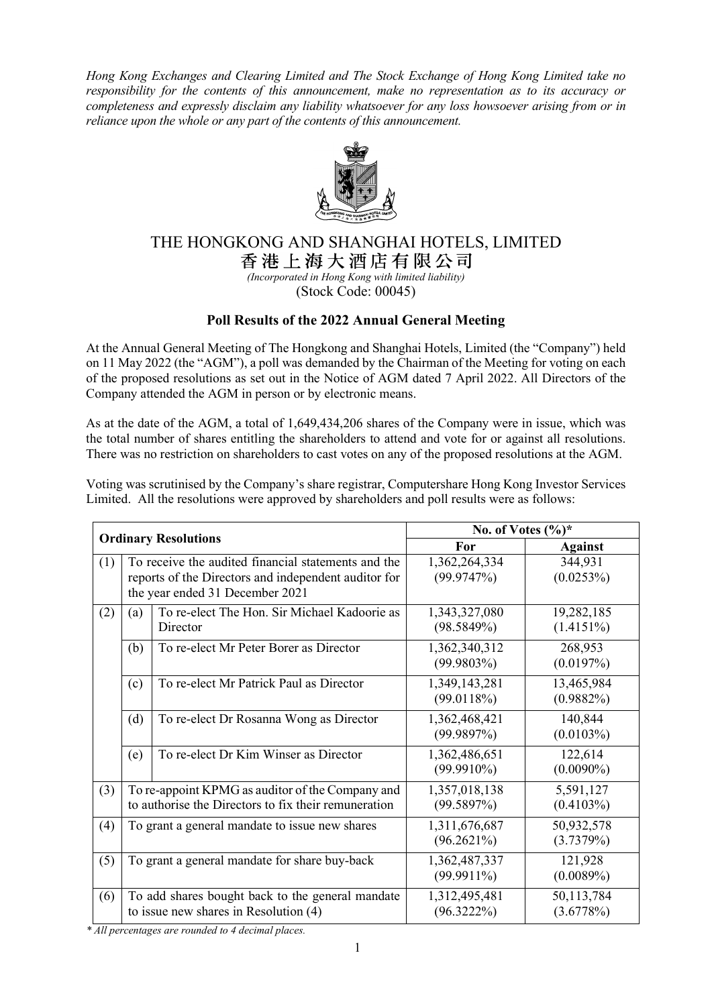*Hong Kong Exchanges and Clearing Limited and The Stock Exchange of Hong Kong Limited take no responsibility for the contents of this announcement, make no representation as to its accuracy or completeness and expressly disclaim any liability whatsoever for any loss howsoever arising from or in reliance upon the whole or any part of the contents of this announcement.*



# THE HONGKONG AND SHANGHAI HOTELS, LIMITED

香港上海大洒店有限公司

*(Incorporated in Hong Kong with limited liability)* (Stock Code: 00045)

## **Poll Results of the 2022 Annual General Meeting**

At the Annual General Meeting of The Hongkong and Shanghai Hotels, Limited (the "Company") held on 11 May 2022 (the "AGM"), a poll was demanded by the Chairman of the Meeting for voting on each of the proposed resolutions as set out in the Notice of AGM dated 7 April 2022. All Directors of the Company attended the AGM in person or by electronic means.

As at the date of the AGM, a total of 1,649,434,206 shares of the Company were in issue, which was the total number of shares entitling the shareholders to attend and vote for or against all resolutions. There was no restriction on shareholders to cast votes on any of the proposed resolutions at the AGM.

Voting was scrutinised by the Company's share registrar, Computershare Hong Kong Investor Services Limited. All the resolutions were approved by shareholders and poll results were as follows:

| <b>Ordinary Resolutions</b> |                                                                                                                                                |                                                          | No. of Votes $(\%)^*$          |                            |
|-----------------------------|------------------------------------------------------------------------------------------------------------------------------------------------|----------------------------------------------------------|--------------------------------|----------------------------|
|                             |                                                                                                                                                |                                                          | For                            | <b>Against</b>             |
| (1)                         | To receive the audited financial statements and the<br>reports of the Directors and independent auditor for<br>the year ended 31 December 2021 |                                                          | 1,362,264,334<br>(99.9747%)    | 344,931<br>(0.0253%)       |
| (2)                         | (a)                                                                                                                                            | To re-elect The Hon. Sir Michael Kadoorie as<br>Director | 1,343,327,080<br>(98.5849%)    | 19,282,185<br>$(1.4151\%)$ |
|                             | (b)                                                                                                                                            | To re-elect Mr Peter Borer as Director                   | 1,362,340,312<br>(99.9803%)    | 268,953<br>(0.0197%)       |
|                             | (c)                                                                                                                                            | To re-elect Mr Patrick Paul as Director                  | 1,349,143,281<br>(99.0118%)    | 13,465,984<br>$(0.9882\%)$ |
|                             | (d)                                                                                                                                            | To re-elect Dr Rosanna Wong as Director                  | 1,362,468,421<br>(99.9897%)    | 140,844<br>(0.0103%)       |
|                             | (e)                                                                                                                                            | To re-elect Dr Kim Winser as Director                    | 1,362,486,651<br>$(99.9910\%)$ | 122,614<br>$(0.0090\%)$    |
| (3)                         | To re-appoint KPMG as auditor of the Company and<br>to authorise the Directors to fix their remuneration                                       |                                                          | 1,357,018,138<br>(99.5897%)    | 5,591,127<br>(0.4103%)     |
| (4)                         | To grant a general mandate to issue new shares                                                                                                 |                                                          | 1,311,676,687<br>$(96.2621\%)$ | 50,932,578<br>(3.7379%)    |
| (5)                         | To grant a general mandate for share buy-back                                                                                                  |                                                          | 1,362,487,337<br>$(99.9911\%)$ | 121,928<br>(0.0089%)       |
| (6)                         | To add shares bought back to the general mandate<br>to issue new shares in Resolution (4)                                                      |                                                          | 1,312,495,481<br>$(96.3222\%)$ | 50,113,784<br>(3.6778%)    |

*\* All percentages are rounded to 4 decimal places.*